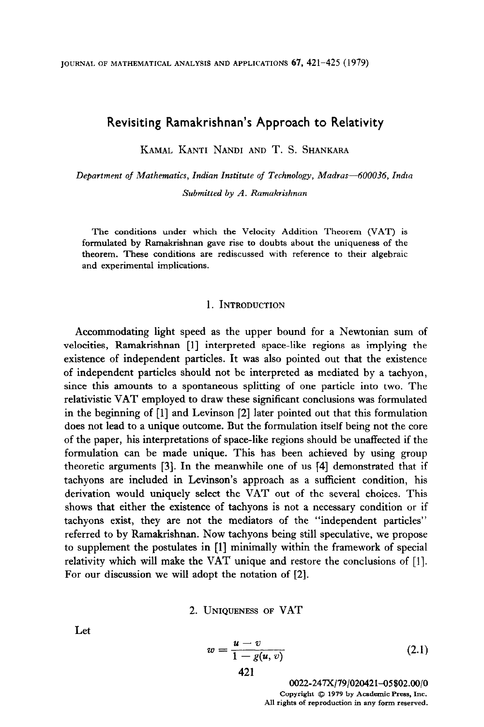# Revisiting Ramakrishnan's Approach to Relativity

KAMAL KANTI NANDI AND T. S. SHANKARA

Department of Mathematics, Indian Institute of Technology, Madras-600036, India Submitted by A. Ramakrishnan

The conditions under which the Velocity Addition Theorem (VAT) is formulated by Ramakrishnan gave rise to doubts about the uniqueness of the theorem. These conditions are rediscussed with reference to their algebraic and experimental implications.

#### 1. INTRODUCTION

Accommodating light speed as the upper bound for a Newtonian sum of velocities, Ramakrishnan [I] interpreted space-like regions as implying the existence of independent particles. It was also pointed out that the existence of independent particles should not be interpreted as mediated by a tachyon, since this amounts to a spontaneous splitting of one particle into two. The relativistic VAT employed to draw these significant conclusions was formulated in the beginning of [I] and Levinson [2] later pointed out that this formulation does not lead to a unique outcome. But the formulation itself being not the core of the paper, his interpretations of space-like regions should be unaffected if the formulation can be made unique. This has been achieved by using group theoretic arguments [3]. In the meanwhile one of us [4] demonstrated that if tachyons are included in Levinson's approach as a sufficient condition, his derivation would uniquely select the VAT out of the several choices. This shows that either the existence of tachyons is not a necessary condition or if tachyons exist, they are not the mediators of the "independent particles" referred to by Ramakrishnan. Now tachyons being still speculative, we propose to supplement the postulates in [l] minimally within the framework of special relativity which will make the VAT unique and restore the conclusions of [I]. For our discussion we will adopt the notation of [2].

2. UNIQUENESS OF VAT

Let

$$
w = \frac{u - v}{1 - g(u, v)}
$$
 (2.1)

0022-247X/79/020421-05\$02.00/0 Copyright  $\oslash$  1979 by Academic Press, Inc. All rights of reproduction in any form reserved.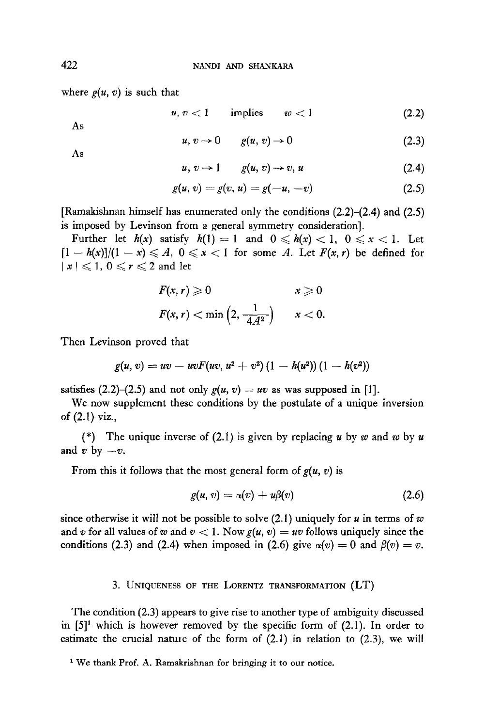where  $g(u, v)$  is such that

$$
u, v < 1 \qquad \text{implies} \qquad w < 1 \tag{2.2}
$$

As

$$
u, v \to 0 \qquad g(u, v) \to 0 \tag{2.3}
$$

As

$$
u, v \to 1 \qquad g(u, v) \to v, u \tag{2.4}
$$

$$
g(u, v) = g(v, u) = g(-u, -v)
$$
 (2.5)

[Ramakishnan himself has enumerated only the conditions (2.2)-(2.4) and (2.5) is imposed by Levinson from a general symmetry consideration].

Further let  $h(x)$  satisfy  $h(1) = 1$  and  $0 \le h(x) < 1$ ,  $0 \le x < 1$ . Let  $[1 - h(x)]/(1 - x) \leqslant A$ ,  $0 \leqslant x < 1$  for some A. Let  $F(x, r)$  be defined for  $|x| \leqslant 1, 0 \leqslant r \leqslant 2$  and let

$$
F(x, r) \geqslant 0 \qquad x \geqslant 0
$$
  

$$
F(x, r) < \min\left(2, \frac{1}{4A^2}\right) \qquad x < 0.
$$

Then Levinson proved that

$$
g(u, v) = uv - uvF(uv, u2 + v2)(1 - h(u2))(1 - h(v2))
$$

satisfies (2.2)–(2.5) and not only  $g(u, v) = uv$  as was supposed in [1].

We now supplement these conditions by the postulate of a unique inversion of (2.1) viz.,

(\*) The unique inverse of (2.1) is given by replacing u by w and w by u and v by  $-v$ .

From this it follows that the most general form of  $g(u, v)$  is

$$
g(u, v) = \alpha(v) + u\beta(v) \qquad (2.6)
$$

since otherwise it will not be possible to solve  $(2.1)$  uniquely for u in terms of w and v for all values of w and  $v < 1$ . Now  $g(u, v) = uv$  follows uniquely since the conditions (2.3) and (2.4) when imposed in (2.6) give  $\alpha(v) = 0$  and  $\beta(v) = v$ .

### 3. UNIQUENESS OF THE LORENTZ TRANSFORMATION (LT)

The condition (2.3) appears to give rise to another type of ambiguity discussed in  $[5]^1$  which is however removed by the specific form of  $(2.1)$ . In order to estimate the crucial nature of the form of (2.1) in relation to (2.3), we will

<sup>&</sup>lt;sup>1</sup> We thank Prof. A. Ramakrishnan for bringing it to our notice.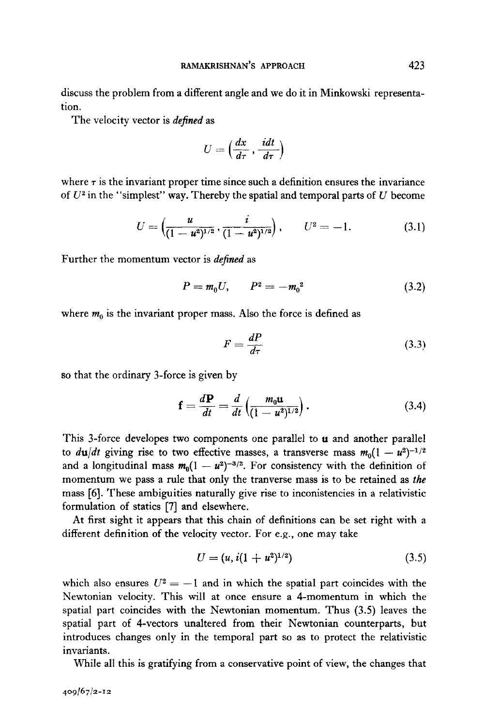discuss the problem from a different angle and we do it in Minkowski representation.

The velocity vector is *defined* as

$$
U=\left(\frac{dx}{d\tau},\frac{idt}{d\tau}\right)
$$

where  $\tau$  is the invariant proper time since such a definition ensures the invariance of  $U^2$  in the "simplest" way. Thereby the spatial and temporal parts of  $U$  become

$$
U = \left(\frac{u}{(1 - u^2)^{1/2}}, \frac{i}{(1 - u^2)^{1/2}}\right), \qquad U^2 = -1. \tag{3.1}
$$

Further the momentum vector is *defined* as

$$
P = m_0 U, \qquad P^2 = -m_0^2 \tag{3.2}
$$

where  $m_0$  is the invariant proper mass. Also the force is defined as

$$
F = \frac{dP}{d\tau} \tag{3.3}
$$

so that the ordinary 3-force is given by

$$
\mathbf{f} = \frac{d\mathbf{P}}{dt} = \frac{d}{dt} \left( \frac{m_0 \mathbf{u}}{(1 - u^2)^{1/2}} \right). \tag{3.4}
$$

This 3-force developes two components one parallel to  $\mathbf u$  and another parallel to  $du/dt$  giving rise to two effective masses, a transverse mass  $m_0(1 - u^2)^{-1/2}$ and a longitudinal mass  $m_0(1 - u^2)^{-3/2}$ . For consistency with the definition of momentum we pass a rule that only the tranverse mass is to be retained as the mass [6]. These ambiguities naturally give rise to inconistencies in a relativistic formulation of statics [7] and elsewhere.

At first sight it appears that this chain of definitions can be set right with a different definition of the velocity vector. For e.g., one may take

$$
U = (u, i(1 + u2)1/2)
$$
\n(3.5)

which also ensures  $U^2 = -1$  and in which the spatial part coincides with the Newtonian velocity. This will at once ensure a 4-momentum in which the spatial part coincides with the Newtonian momentum. Thus (3.5) leaves the spatial part of 4-vectors unaltered from their Newtonian counterparts, but introduces changes only in the temporal part so as to protect the relativistic invariants.

While all this is gratifying from a conservative point of view, the changes that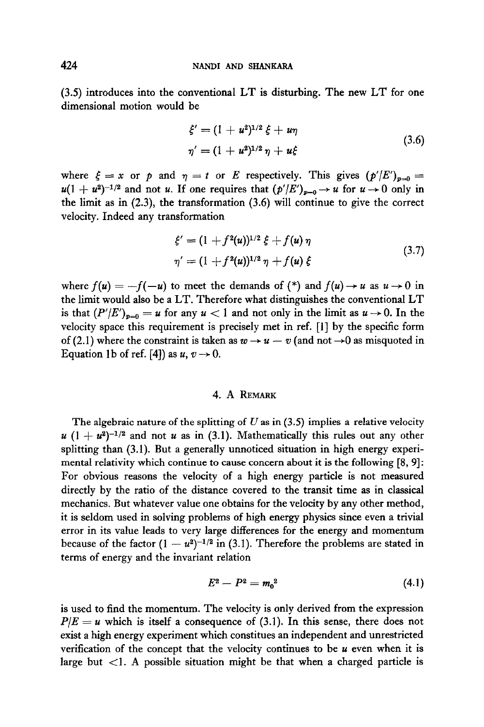(3.5) introduces into the conventional LT is disturbing. The new LT for one dimensional motion would be

$$
\xi' = (1 + u^2)^{1/2} \xi + u\eta
$$
  
\n
$$
\eta' = (1 + u^2)^{1/2} \eta + u\xi
$$
\n(3.6)

where  $\xi = x$  or p and  $\eta = t$  or E respectively. This gives  $(p'/E')_{p=0}$  $u(1 + u^2)^{-1/2}$  and not u. If one requires that  $(p'/E')_{p=0} \rightarrow u$  for  $u \rightarrow 0$  only in the limit as in (2.3), the transformation (3.6) will continue to give the correct velocity. Indeed any transformation

$$
\xi' = (1 + f^2(u))^{1/2} \xi + f(u) \eta
$$
  
\n
$$
\eta' = (1 + f^2(u))^{1/2} \eta + f(u) \xi
$$
\n(3.7)

where  $f(u) = -f(-u)$  to meet the demands of (\*) and  $f(u) \rightarrow u$  as  $u \rightarrow 0$  in the limit would also be a LT. Therefore what distinguishes the conventional LT is that  $(P'/E')_{v=0} = u$  for any  $u < 1$  and not only in the limit as  $u \rightarrow 0$ . In the velocity space this requirement is precisely met in ref. [l] by the specific form of (2.1) where the constraint is taken as  $w \rightarrow u - v$  (and not  $\rightarrow 0$  as misquoted in Equation 1b of ref. [4]) as  $u, v \rightarrow 0$ .

## 4. A REMARK

The algebraic nature of the splitting of  $U$  as in (3.5) implies a relative velocity  $u$  (1 +  $u^2$ )<sup>-1/2</sup> and not u as in (3.1). Mathematically this rules out any other splitting than (3.1). But a generally unnoticed situation in high energy experimental relativity which continue to cause concern about it is the following [8, 9]: For obvious reasons the velocity of a high energy particle is not measured directly by the ratio of the distance covered to the transit time as in classical mechanics. But whatever value one obtains for the velocity by any other method, it is seldom used in solving problems of high energy physics since even a trivial error in its value leads to very large differences for the energy and momentum because of the factor  $(1 - u^2)^{-1/2}$  in (3.1). Therefore the problems are stated in terms of energy and the invariant relation

$$
E^2 - P^2 = m_0^2 \tag{4.1}
$$

is used to find the momentum. The velocity is only derived from the expression  $P/E = u$  which is itself a consequence of (3.1). In this sense, there does not exist a high energy experiment which constitues an independent and unrestricted verification of the concept that the velocity continues to be  $u$  even when it is large but  $\lt 1$ . A possible situation might be that when a charged particle is